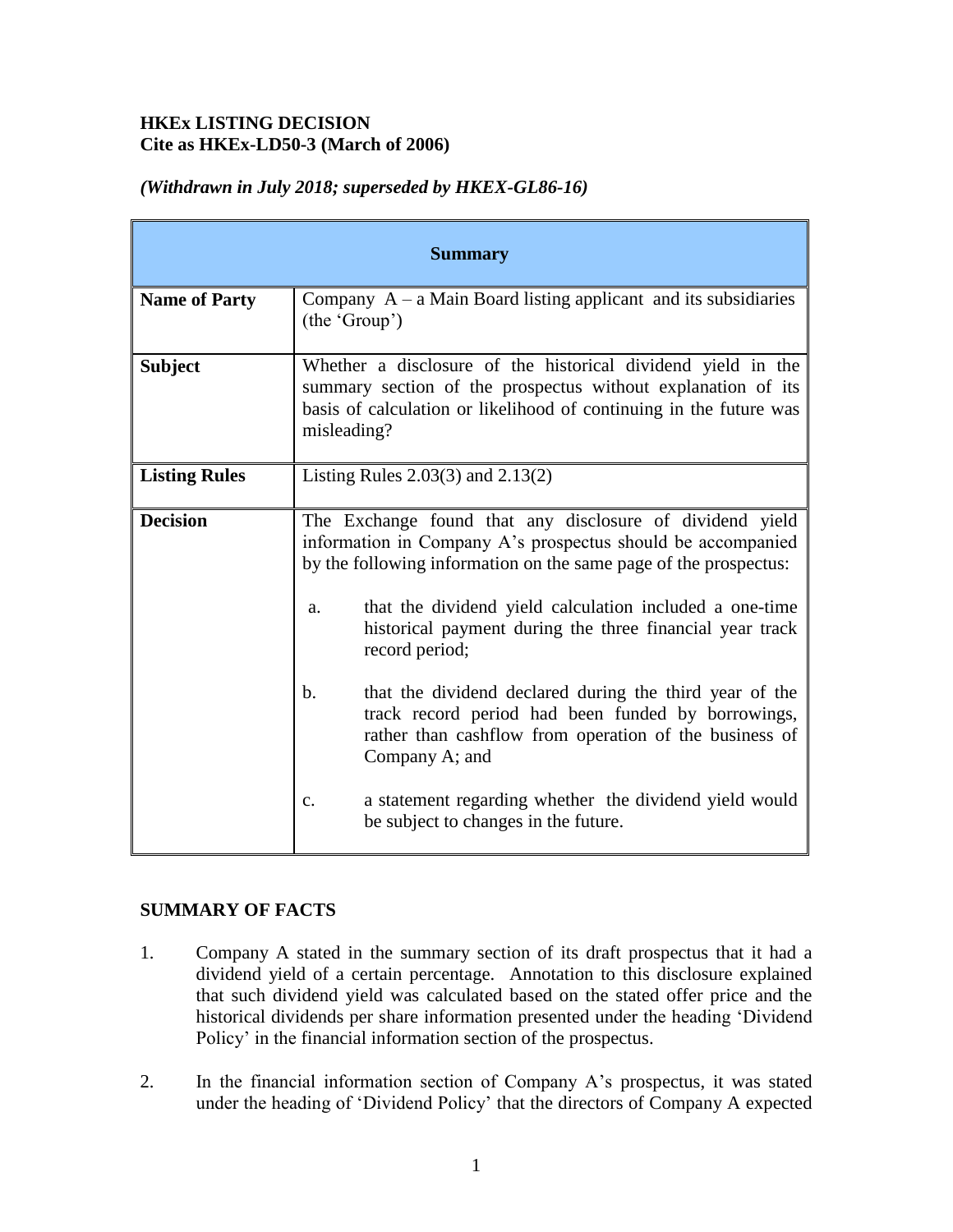## **HKEx LISTING DECISION Cite as HKEx-LD50-3 (March of 2006)**

| <b>Summary</b>       |                                                                                                                                                                                                                                                                                                                          |
|----------------------|--------------------------------------------------------------------------------------------------------------------------------------------------------------------------------------------------------------------------------------------------------------------------------------------------------------------------|
| <b>Name of Party</b> | Company $A - a$ Main Board listing applicant and its subsidiaries<br>(the 'Group')                                                                                                                                                                                                                                       |
| <b>Subject</b>       | Whether a disclosure of the historical dividend yield in the<br>summary section of the prospectus without explanation of its<br>basis of calculation or likelihood of continuing in the future was<br>misleading?                                                                                                        |
| <b>Listing Rules</b> | Listing Rules $2.03(3)$ and $2.13(2)$                                                                                                                                                                                                                                                                                    |
| <b>Decision</b>      | The Exchange found that any disclosure of dividend yield<br>information in Company A's prospectus should be accompanied<br>by the following information on the same page of the prospectus:<br>that the dividend yield calculation included a one-time<br>a.<br>historical payment during the three financial year track |
|                      | record period;                                                                                                                                                                                                                                                                                                           |
|                      | that the dividend declared during the third year of the<br>b.<br>track record period had been funded by borrowings,<br>rather than cashflow from operation of the business of<br>Company A; and                                                                                                                          |
|                      | a statement regarding whether the dividend yield would<br>c.<br>be subject to changes in the future.                                                                                                                                                                                                                     |

# *(Withdrawn in July 2018; superseded by HKEX-GL86-16)*

## **SUMMARY OF FACTS**

- 1. Company A stated in the summary section of its draft prospectus that it had a dividend yield of a certain percentage. Annotation to this disclosure explained that such dividend yield was calculated based on the stated offer price and the historical dividends per share information presented under the heading 'Dividend Policy' in the financial information section of the prospectus.
- 2. In the financial information section of Company A's prospectus, it was stated under the heading of 'Dividend Policy' that the directors of Company A expected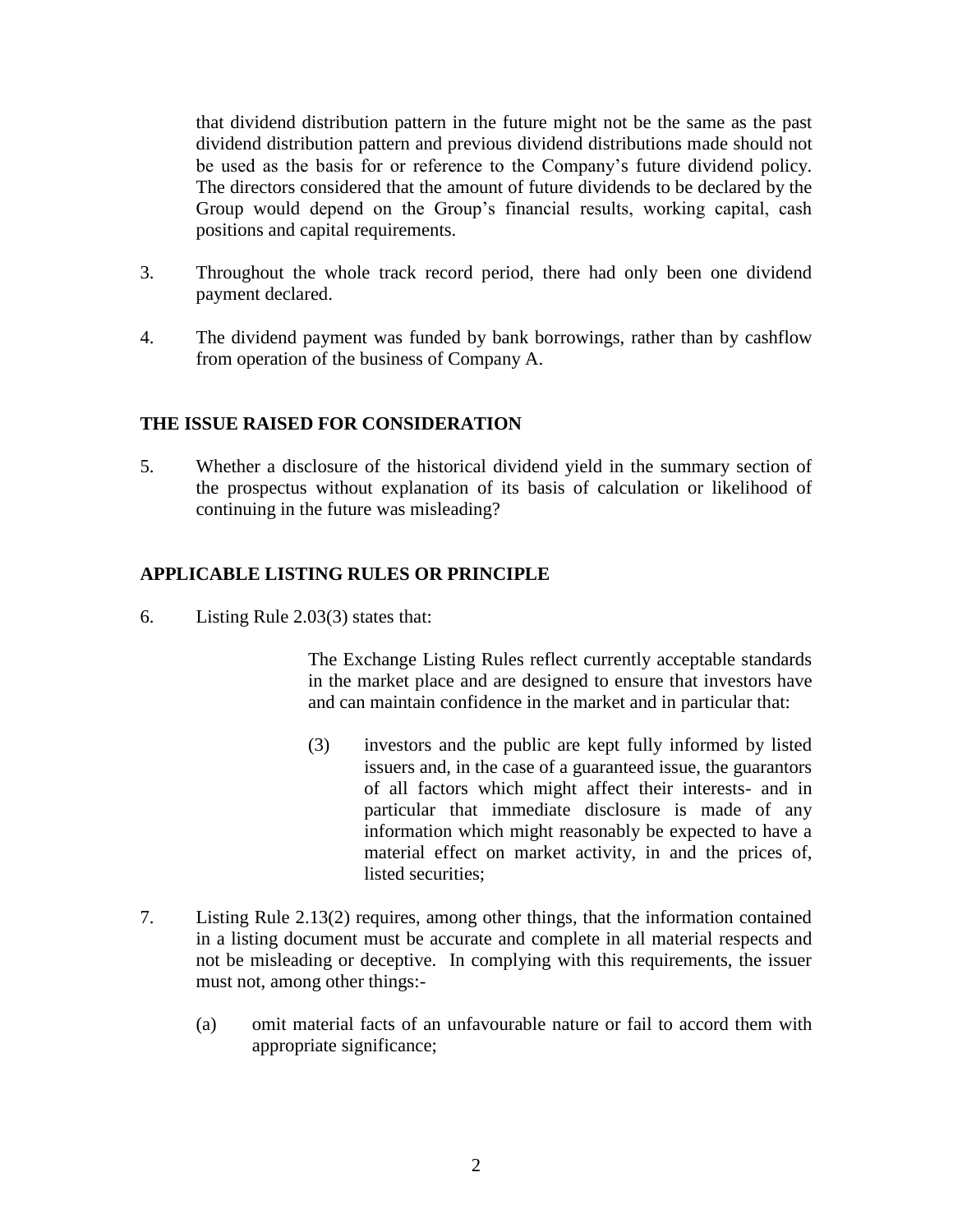that dividend distribution pattern in the future might not be the same as the past dividend distribution pattern and previous dividend distributions made should not be used as the basis for or reference to the Company's future dividend policy. The directors considered that the amount of future dividends to be declared by the Group would depend on the Group's financial results, working capital, cash positions and capital requirements.

- 3. Throughout the whole track record period, there had only been one dividend payment declared.
- 4. The dividend payment was funded by bank borrowings, rather than by cashflow from operation of the business of Company A.

#### **THE ISSUE RAISED FOR CONSIDERATION**

5. Whether a disclosure of the historical dividend yield in the summary section of the prospectus without explanation of its basis of calculation or likelihood of continuing in the future was misleading?

#### **APPLICABLE LISTING RULES OR PRINCIPLE**

6. Listing Rule 2.03(3) states that:

The Exchange Listing Rules reflect currently acceptable standards in the market place and are designed to ensure that investors have and can maintain confidence in the market and in particular that:

- (3) investors and the public are kept fully informed by listed issuers and, in the case of a guaranteed issue, the guarantors of all factors which might affect their interests- and in particular that immediate disclosure is made of any information which might reasonably be expected to have a material effect on market activity, in and the prices of, listed securities;
- 7. Listing Rule 2.13(2) requires, among other things, that the information contained in a listing document must be accurate and complete in all material respects and not be misleading or deceptive. In complying with this requirements, the issuer must not, among other things:-
	- (a) omit material facts of an unfavourable nature or fail to accord them with appropriate significance;